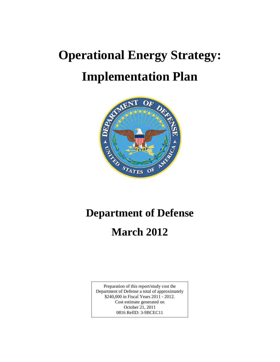# **Operational Energy Strategy: Implementation Plan**



# **Department of Defense**

# **March 2012**

Department of Defense a total of approximately \$240,000 in Fiscal Years 2011 - 2012. Preparation of this report/study cost the Cost estimate generated on October 21, 2011 0816 RefID: 3-9BCEC11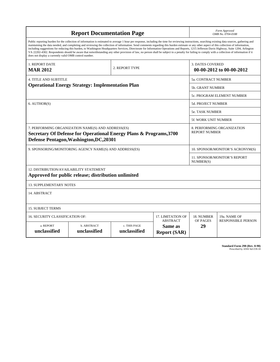| <b>Report Documentation Page</b>                                                                                                                                                                                                                                                                                                                                                                                                                                                                                                                                                                                                                                                                                                                                                                                                                                   |                                                                                                                                                                                                                           |              |  |                           | Form Approved<br>OMB No. 0704-0188                  |  |
|--------------------------------------------------------------------------------------------------------------------------------------------------------------------------------------------------------------------------------------------------------------------------------------------------------------------------------------------------------------------------------------------------------------------------------------------------------------------------------------------------------------------------------------------------------------------------------------------------------------------------------------------------------------------------------------------------------------------------------------------------------------------------------------------------------------------------------------------------------------------|---------------------------------------------------------------------------------------------------------------------------------------------------------------------------------------------------------------------------|--------------|--|---------------------------|-----------------------------------------------------|--|
| Public reporting burden for the collection of information is estimated to average 1 hour per response, including the time for reviewing instructions, searching existing data sources, gathering and<br>maintaining the data needed, and completing and reviewing the collection of information. Send comments regarding this burden estimate or any other aspect of this collection of information,<br>including suggestions for reducing this burden, to Washington Headquarters Services, Directorate for Information Operations and Reports, 1215 Jefferson Davis Highway, Suite 1204, Arlington<br>VA 22202-4302. Respondents should be aware that notwithstanding any other provision of law, no person shall be subject to a penalty for failing to comply with a collection of information if it<br>does not display a currently valid OMB control number. |                                                                                                                                                                                                                           |              |  |                           |                                                     |  |
| 1. REPORT DATE<br>2. REPORT TYPE<br><b>MAR 2012</b>                                                                                                                                                                                                                                                                                                                                                                                                                                                                                                                                                                                                                                                                                                                                                                                                                |                                                                                                                                                                                                                           |              |  |                           | <b>3. DATES COVERED</b><br>00-00-2012 to 00-00-2012 |  |
| <b>4. TITLE AND SUBTITLE</b>                                                                                                                                                                                                                                                                                                                                                                                                                                                                                                                                                                                                                                                                                                                                                                                                                                       |                                                                                                                                                                                                                           |              |  | 5a. CONTRACT NUMBER       |                                                     |  |
|                                                                                                                                                                                                                                                                                                                                                                                                                                                                                                                                                                                                                                                                                                                                                                                                                                                                    | <b>Operational Energy Strategy: Implementation Plan</b>                                                                                                                                                                   |              |  | <b>5b. GRANT NUMBER</b>   |                                                     |  |
|                                                                                                                                                                                                                                                                                                                                                                                                                                                                                                                                                                                                                                                                                                                                                                                                                                                                    |                                                                                                                                                                                                                           |              |  |                           | 5c. PROGRAM ELEMENT NUMBER                          |  |
| 6. AUTHOR(S)                                                                                                                                                                                                                                                                                                                                                                                                                                                                                                                                                                                                                                                                                                                                                                                                                                                       |                                                                                                                                                                                                                           |              |  | <b>5d. PROJECT NUMBER</b> |                                                     |  |
|                                                                                                                                                                                                                                                                                                                                                                                                                                                                                                                                                                                                                                                                                                                                                                                                                                                                    |                                                                                                                                                                                                                           |              |  | <b>5e. TASK NUMBER</b>    |                                                     |  |
|                                                                                                                                                                                                                                                                                                                                                                                                                                                                                                                                                                                                                                                                                                                                                                                                                                                                    |                                                                                                                                                                                                                           |              |  |                           | 5f. WORK UNIT NUMBER                                |  |
|                                                                                                                                                                                                                                                                                                                                                                                                                                                                                                                                                                                                                                                                                                                                                                                                                                                                    | 7. PERFORMING ORGANIZATION NAME(S) AND ADDRESS(ES)<br>8. PERFORMING ORGANIZATION<br><b>REPORT NUMBER</b><br>Secretary Of Defense for Operational Energy Plans & Programs, 3700<br>Defense Pentagon, Washington, DC, 20301 |              |  |                           |                                                     |  |
| 9. SPONSORING/MONITORING AGENCY NAME(S) AND ADDRESS(ES)<br>10. SPONSOR/MONITOR'S ACRONYM(S)                                                                                                                                                                                                                                                                                                                                                                                                                                                                                                                                                                                                                                                                                                                                                                        |                                                                                                                                                                                                                           |              |  |                           |                                                     |  |
|                                                                                                                                                                                                                                                                                                                                                                                                                                                                                                                                                                                                                                                                                                                                                                                                                                                                    |                                                                                                                                                                                                                           |              |  |                           | 11. SPONSOR/MONITOR'S REPORT<br>NUMBER(S)           |  |
| 12. DISTRIBUTION/AVAILABILITY STATEMENT<br>Approved for public release; distribution unlimited                                                                                                                                                                                                                                                                                                                                                                                                                                                                                                                                                                                                                                                                                                                                                                     |                                                                                                                                                                                                                           |              |  |                           |                                                     |  |
| <b>13. SUPPLEMENTARY NOTES</b>                                                                                                                                                                                                                                                                                                                                                                                                                                                                                                                                                                                                                                                                                                                                                                                                                                     |                                                                                                                                                                                                                           |              |  |                           |                                                     |  |
| 14. ABSTRACT                                                                                                                                                                                                                                                                                                                                                                                                                                                                                                                                                                                                                                                                                                                                                                                                                                                       |                                                                                                                                                                                                                           |              |  |                           |                                                     |  |
| <b>15. SUBJECT TERMS</b>                                                                                                                                                                                                                                                                                                                                                                                                                                                                                                                                                                                                                                                                                                                                                                                                                                           |                                                                                                                                                                                                                           |              |  |                           |                                                     |  |
| 16. SECURITY CLASSIFICATION OF:                                                                                                                                                                                                                                                                                                                                                                                                                                                                                                                                                                                                                                                                                                                                                                                                                                    | 18. NUMBER                                                                                                                                                                                                                | 19a. NAME OF |  |                           |                                                     |  |
| <b>ABSTRACT</b><br>a. REPORT<br>b. ABSTRACT<br>c. THIS PAGE<br>Same as<br>unclassified<br>unclassified<br>unclassified<br><b>Report (SAR)</b>                                                                                                                                                                                                                                                                                                                                                                                                                                                                                                                                                                                                                                                                                                                      |                                                                                                                                                                                                                           |              |  | OF PAGES<br>29            | <b>RESPONSIBLE PERSON</b>                           |  |

**Standard Form 298 (Rev. 8-98)**<br>Prescribed by ANSI Std Z39-18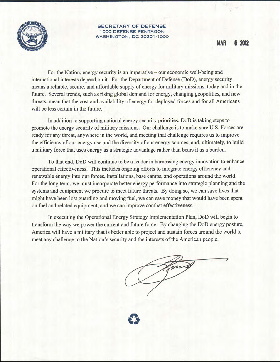

**SECRETARY OF DEFENSE 1000 DEFENSE PENTAGON WASHINGTON, DC 20301-1000** 

**MAR** 6 2012

For the Nation, energy security is an imperative – our economic well-being and international interests depend on it. For the Department of Defense (DoD), energy security means a reliable, secure, and affordable supply of energy for military missions, today and in the future. Several trends, such as rising global demand for energy, changing geopolitics, and new threats, mean that the cost and availability of energy for deployed forces and for all Americans will be less certain in the future.

In addition to supporting national energy security priorities, DoD is taking steps to promote the energy security of military missions. Our challenge is to make sure U.S. Forces are ready for any threat, anywhere in the world, and meeting that challenge requires us to improve the efficiency of our energy use and the diversity of our energy sources, and, ultimately, to build a military force that uses energy as a strategic advantage rather than bears it as a burden.

To that end, DoD will continue to be a leader in harnessing energy innovation to enhance operational effectiveness. This includes ongoing efforts to integrate energy efficiency and renewable energy into our forces, installations, base camps, and operations around the world. For the long term, we must incorporate better energy performance into strategic planning and the systems and equipment we procure to meet future threats. By doing so, we can save lives that might have been lost guarding and moving fuel, we can save money that would have been spent on fuel and related equipment, and we can improve combat effectiveness.

In executing the Operational Energy Strategy Implementation Plan, DoD will begin to transform the way we power the current and future force. By changing the DoD energy posture, America will have a military that is better able to project and sustain forces around the world to meet any challenge to the Nation's security and the interests of the American people.

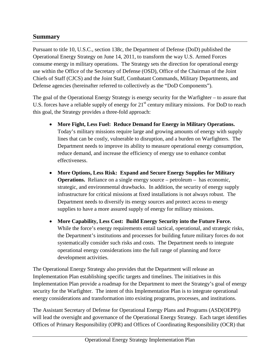### **Summary**

Pursuant to title 10, U.S.C., section 138c, the Department of Defense (DoD) published the Operational Energy Strategy on June 14, 2011, to transform the way U.S. Armed Forces consume energy in military operations. The Strategy sets the direction for operational energy use within the Office of the Secretary of Defense (OSD), Office of the Chairman of the Joint Chiefs of Staff (CJCS) and the Joint Staff, Combatant Commands, Military Departments, and Defense agencies (hereinafter referred to collectively as the "DoD Components").

The goal of the Operational Energy Strategy is energy security for the Warfighter – to assure that U.S. forces have a reliable supply of energy for  $21<sup>st</sup>$  century military missions. For DoD to reach this goal, the Strategy provides a three-fold approach:

- **More Fight, Less Fuel: Reduce Demand for Energy in Military Operations.** Today's military missions require large and growing amounts of energy with supply lines that can be costly, vulnerable to disruption, and a burden on Warfighters. The Department needs to improve its ability to measure operational energy consumption, reduce demand, and increase the efficiency of energy use to enhance combat effectiveness.
- **More Options, Less Risk: Expand and Secure Energy Supplies for Military Operations.** Reliance on a single energy source – petroleum – has economic, strategic, and environmental drawbacks. In addition, the security of energy supply infrastructure for critical missions at fixed installations is not always robust. The Department needs to diversify its energy sources and protect access to energy supplies to have a more assured supply of energy for military missions.
- **More Capability, Less Cost: Build Energy Security into the Future Force.**  While the force's energy requirements entail tactical, operational, and strategic risks, the Department's institutions and processes for building future military forces do not systematically consider such risks and costs. The Department needs to integrate operational energy considerations into the full range of planning and force development activities.

The Operational Energy Strategy also provides that the Department will release an Implementation Plan establishing specific targets and timelines. The initiatives in this Implementation Plan provide a roadmap for the Department to meet the Strategy's goal of energy security for the Warfighter. The intent of this Implementation Plan is to integrate operational energy considerations and transformation into existing programs, processes, and institutions.

The Assistant Secretary of Defense for Operational Energy Plans and Programs (ASD(OEPP)) will lead the oversight and governance of the Operational Energy Strategy. Each target identifies Offices of Primary Responsibility (OPR) and Offices of Coordinating Responsibility (OCR) that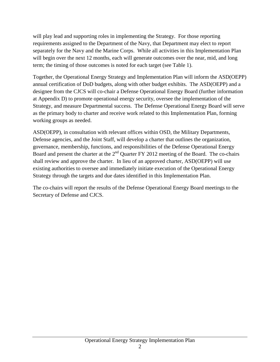will play lead and supporting roles in implementing the Strategy. For those reporting requirements assigned to the Department of the Navy, that Department may elect to report separately for the Navy and the Marine Corps. While all activities in this Implementation Plan will begin over the next 12 months, each will generate outcomes over the near, mid, and long term; the timing of those outcomes is noted for each target (see Table 1).

Together, the Operational Energy Strategy and Implementation Plan will inform the ASD(OEPP) annual certification of DoD budgets, along with other budget exhibits. The ASD(OEPP) and a designee from the CJCS will co-chair a Defense Operational Energy Board (further information at Appendix D) to promote operational energy security, oversee the implementation of the Strategy, and measure Departmental success. The Defense Operational Energy Board will serve as the primary body to charter and receive work related to this Implementation Plan, forming working groups as needed.

ASD(OEPP), in consultation with relevant offices within OSD, the Military Departments, Defense agencies, and the Joint Staff, will develop a charter that outlines the organization, governance, membership, functions, and responsibilities of the Defense Operational Energy Board and present the charter at the  $2<sup>nd</sup>$  Quarter FY 2012 meeting of the Board. The co-chairs shall review and approve the charter. In lieu of an approved charter, ASD(OEPP) will use existing authorities to oversee and immediately initiate execution of the Operational Energy Strategy through the targets and due dates identified in this Implementation Plan.

The co-chairs will report the results of the Defense Operational Energy Board meetings to the Secretary of Defense and CJCS.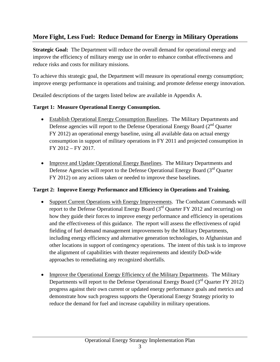### **More Fight, Less Fuel: Reduce Demand for Energy in Military Operations**

**Strategic Goal:** The Department will reduce the overall demand for operational energy and improve the efficiency of military energy use in order to enhance combat effectiveness and reduce risks and costs for military missions.

To achieve this strategic goal, the Department will measure its operational energy consumption; improve energy performance in operations and training; and promote defense energy innovation.

Detailed descriptions of the targets listed below are available in Appendix A.

#### **Target 1: Measure Operational Energy Consumption.**

- Establish Operational Energy Consumption Baselines. The Military Departments and Defense agencies will report to the Defense Operational Energy Board (2<sup>nd</sup> Quarter FY 2012) an operational energy baseline, using all available data on actual energy consumption in support of military operations in FY 2011 and projected consumption in FY 2012 – FY 2017.
- Improve and Update Operational Energy Baselines. The Military Departments and Defense Agencies will report to the Defense Operational Energy Board (3<sup>rd</sup> Quarter FY 2012) on any actions taken or needed to improve these baselines.

#### **Target 2: Improve Energy Performance and Efficiency in Operations and Training.**

- Support Current Operations with Energy Improvements. The Combatant Commands will report to the Defense Operational Energy Board  $3<sup>rd</sup>$  Quarter FY 2012 and recurring) on how they guide their forces to improve energy performance and efficiency in operations and the effectiveness of this guidance. The report will assess the effectiveness of rapid fielding of fuel demand management improvements by the Military Departments, including energy efficiency and alternative generation technologies, to Afghanistan and other locations in support of contingency operations. The intent of this task is to improve the alignment of capabilities with theater requirements and identify DoD-wide approaches to remediating any recognized shortfalls.
- Improve the Operational Energy Efficiency of the Military Departments. The Military Departments will report to the Defense Operational Energy Board  $(3<sup>rd</sup>$  Quarter FY 2012) progress against their own current or updated energy performance goals and metrics and demonstrate how such progress supports the Operational Energy Strategy priority to reduce the demand for fuel and increase capability in military operations.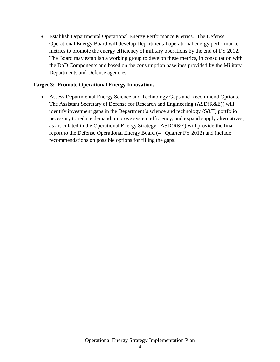• Establish Departmental Operational Energy Performance Metrics. The Defense Operational Energy Board will develop Departmental operational energy performance metrics to promote the energy efficiency of military operations by the end of FY 2012. The Board may establish a working group to develop these metrics, in consultation with the DoD Components and based on the consumption baselines provided by the Military Departments and Defense agencies.

#### **Target 3: Promote Operational Energy Innovation.**

• Assess Departmental Energy Science and Technology Gaps and Recommend Options. The Assistant Secretary of Defense for Research and Engineering (ASD(R&E)) will identify investment gaps in the Department's science and technology (S&T) portfolio necessary to reduce demand, improve system efficiency, and expand supply alternatives, as articulated in the Operational Energy Strategy. ASD(R&E) will provide the final report to the Defense Operational Energy Board  $(4<sup>th</sup>$  Quarter FY 2012) and include recommendations on possible options for filling the gaps.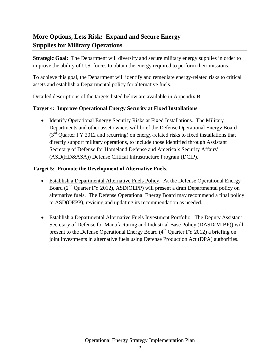# **More Options, Less Risk: Expand and Secure Energy Supplies for Military Operations**

**Strategic Goal:** The Department will diversify and secure military energy supplies in order to improve the ability of U.S. forces to obtain the energy required to perform their missions.

To achieve this goal, the Department will identify and remediate energy-related risks to critical assets and establish a Departmental policy for alternative fuels.

Detailed descriptions of the targets listed below are available in Appendix B.

#### **Target 4: Improve Operational Energy Security at Fixed Installations**

• Identify Operational Energy Security Risks at Fixed Installations. The Military Departments and other asset owners will brief the Defense Operational Energy Board  $(3<sup>rd</sup>$  Quarter FY 2012 and recurring) on energy-related risks to fixed installations that directly support military operations, to include those identified through Assistant Secretary of Defense for Homeland Defense and America's Security Affairs' (ASD(HD&ASA)) Defense Critical Infrastructure Program (DCIP).

#### **Target 5: Promote the Development of Alternative Fuels.**

- Establish a Departmental Alternative Fuels Policy. At the Defense Operational Energy Board (2<sup>nd</sup> Quarter FY 2012), ASD(OEPP) will present a draft Departmental policy on alternative fuels. The Defense Operational Energy Board may recommend a final policy to ASD(OEPP), revising and updating its recommendation as needed.
- Establish a Departmental Alternative Fuels Investment Portfolio. The Deputy Assistant Secretary of Defense for Manufacturing and Industrial Base Policy (DASD(MIBP)) will present to the Defense Operational Energy Board  $(4<sup>th</sup>$  Quarter FY 2012) a briefing on joint investments in alternative fuels using Defense Production Act (DPA) authorities.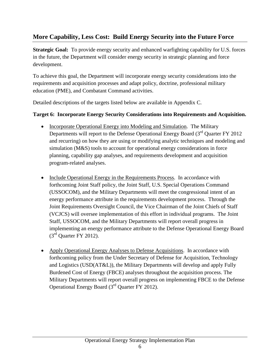# **More Capability, Less Cost: Build Energy Security into the Future Force**

**Strategic Goal:** To provide energy security and enhanced warfighting capability for U.S. forces in the future, the Department will consider energy security in strategic planning and force development.

To achieve this goal, the Department will incorporate energy security considerations into the requirements and acquisition processes and adapt policy, doctrine, professional military education (PME), and Combatant Command activities.

Detailed descriptions of the targets listed below are available in Appendix C.

#### **Target 6: Incorporate Energy Security Considerations into Requirements and Acquisition.**

- Incorporate Operational Energy into Modeling and Simulation. The Military Departments will report to the Defense Operational Energy Board (3<sup>rd</sup> Quarter FY 2012 and recurring) on how they are using or modifying analytic techniques and modeling and simulation (M&S) tools to account for operational energy considerations in force planning, capability gap analyses, and requirements development and acquisition program-related analyses.
- Include Operational Energy in the Requirements Process. In accordance with forthcoming Joint Staff policy, the Joint Staff, U.S. Special Operations Command (USSOCOM), and the Military Departments will meet the congressional intent of an energy performance attribute in the requirements development process. Through the Joint Requirements Oversight Council, the Vice Chairman of the Joint Chiefs of Staff (VCJCS) will oversee implementation of this effort in individual programs. The Joint Staff, USSOCOM, and the Military Departments will report overall progress in implementing an energy performance attribute to the Defense Operational Energy Board  $(3<sup>rd</sup>$  Quarter FY 2012).
- Apply Operational Energy Analyses to Defense Acquisitions. In accordance with forthcoming policy from the Under Secretary of Defense for Acquisition, Technology and Logistics (USD(AT&L)), the Military Departments will develop and apply Fully Burdened Cost of Energy (FBCE) analyses throughout the acquisition process. The Military Departments will report overall progress on implementing FBCE to the Defense Operational Energy Board  $(3<sup>rd</sup>$  Quarter FY 2012).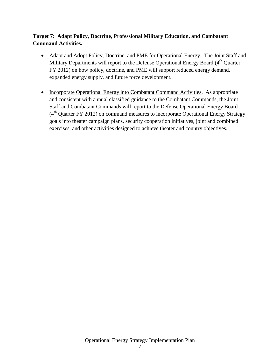#### **Target 7: Adapt Policy, Doctrine, Professional Military Education, and Combatant Command Activities.**

- Adapt and Adopt Policy, Doctrine, and PME for Operational Energy. The Joint Staff and Military Departments will report to the Defense Operational Energy Board (4<sup>th</sup> Quarter FY 2012) on how policy, doctrine, and PME will support reduced energy demand, expanded energy supply, and future force development.
- Incorporate Operational Energy into Combatant Command Activities. As appropriate and consistent with annual classified guidance to the Combatant Commands, the Joint Staff and Combatant Commands will report to the Defense Operational Energy Board  $(4<sup>th</sup>$  Quarter FY 2012) on command measures to incorporate Operational Energy Strategy goals into theater campaign plans, security cooperation initiatives, joint and combined exercises, and other activities designed to achieve theater and country objectives.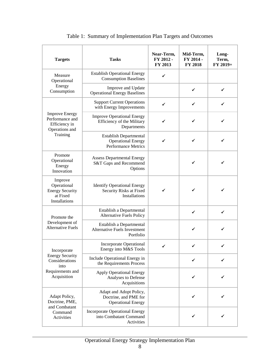| <b>Targets</b>                                                                      | <b>Tasks</b>                                                                             | Near-Term,<br>FY 2012 -<br>FY 2013 | Mid-Term,<br>FY 2014 -<br><b>FY 2018</b> | Long-<br>Term,<br>FY 2019+ |
|-------------------------------------------------------------------------------------|------------------------------------------------------------------------------------------|------------------------------------|------------------------------------------|----------------------------|
| Measure<br>Operational                                                              | <b>Establish Operational Energy</b><br><b>Consumption Baselines</b>                      | ✓                                  |                                          |                            |
| Energy<br>Consumption                                                               | Improve and Update<br><b>Operational Energy Baselines</b>                                |                                    | ✔                                        | ✓                          |
|                                                                                     | <b>Support Current Operations</b><br>with Energy Improvements                            | ✔                                  | ✓                                        |                            |
| <b>Improve Energy</b><br>Performance and<br>Efficiency in<br>Operations and         | <b>Improve Operational Energy</b><br>Efficiency of the Military<br>Departments           |                                    |                                          |                            |
| Training                                                                            | <b>Establish Departmental</b><br><b>Operational Energy</b><br><b>Performance Metrics</b> |                                    | ✓                                        |                            |
| Promote<br>Operational<br>Energy<br>Innovation                                      | <b>Assess Departmental Energy</b><br>S&T Gaps and Recommend<br>Options                   |                                    | ✓                                        |                            |
| Improve<br>Operational<br><b>Energy Security</b><br>at Fixed<br>Installations       | <b>Identify Operational Energy</b><br>Security Risks at Fixed<br>Installations           | ✔                                  | ✔                                        |                            |
| Promote the                                                                         | Establish a Departmental<br><b>Alternative Fuels Policy</b>                              |                                    | ✓                                        | ✓                          |
| Development of<br><b>Alternative Fuels</b>                                          | Establish a Departmental<br><b>Alternative Fuels Investment</b><br>Portfolio             |                                    | ✓                                        |                            |
| Incorporate                                                                         | <b>Incorporate Operational</b><br>Energy into M&S Tools                                  | ✓                                  |                                          |                            |
| <b>Energy Security</b><br>Considerations<br>into<br>Requirements and<br>Acquisition | Include Operational Energy in<br>the Requirements Process                                |                                    | ✔                                        |                            |
|                                                                                     | <b>Apply Operational Energy</b><br>Analyses to Defense<br>Acquisitions                   |                                    |                                          |                            |
| Adapt Policy,<br>Doctrine, PME,                                                     | Adapt and Adopt Policy,<br>Doctrine, and PME for<br><b>Operational Energy</b>            |                                    |                                          |                            |
| and Combatant<br>Command<br>Activities                                              | <b>Incorporate Operational Energy</b><br>into Combatant Command<br>Activities            |                                    | ✓                                        |                            |

Table 1: Summary of Implementation Plan Targets and Outcomes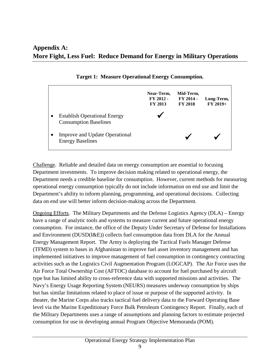|                                                                     | Near-Term,<br>FY 2012 -<br>FY 2013 | Mid-Term,<br>FY 2014 -<br><b>FY 2018</b> | Long-Term,<br>$FY 2019+$ |
|---------------------------------------------------------------------|------------------------------------|------------------------------------------|--------------------------|
| <b>Establish Operational Energy</b><br><b>Consumption Baselines</b> |                                    |                                          |                          |
| <b>Improve and Update Operational</b><br><b>Energy Baselines</b>    |                                    |                                          |                          |

**Target 1: Measure Operational Energy Consumption.** 

Challenge. Reliable and detailed data on energy consumption are essential to focusing Department investments. To improve decision making related to operational energy, the Department needs a credible baseline for consumption. However, current methods for measuring operational energy consumption typically do not include information on end use and limit the Department's ability to inform planning, programming, and operational decisions. Collecting data on end use will better inform decision-making across the Department.

Ongoing Efforts. The Military Departments and the Defense Logistics Agency (DLA) – Energy have a range of analytic tools and systems to measure current and future operational energy consumption. For instance, the office of the Deputy Under Secretary of Defense for Installations and Environment (DUSD(I&E)) collects fuel consumption data from DLA for the Annual Energy Management Report. The Army is deploying the Tactical Fuels Manager Defense (TFMD) system to bases in Afghanistan to improve fuel asset inventory management and has implemented initiatives to improve management of fuel consumption in contingency contracting activities such as the Logistics Civil Augmentation Program (LOGCAP). The Air Force uses the Air Force Total Ownership Cost (AFTOC) database to account for fuel purchased by aircraft type but has limited ability to cross-reference data with supported missions and activities. The Navy's Energy Usage Reporting System (NEURS) measures underway consumption by ships but has similar limitations related to place of issue or purpose of the supported activity. In theater, the Marine Corps also tracks tactical fuel delivery data to the Forward Operating Base level via the Marine Expeditionary Force Bulk Petroleum Contingency Report. Finally, each of the Military Departments uses a range of assumptions and planning factors to estimate projected consumption for use in developing annual Program Objective Memoranda (POM).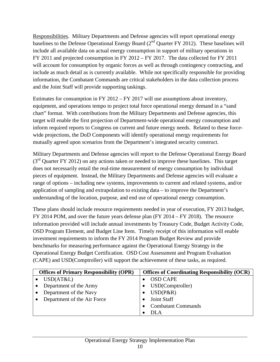Responsibilities. Military Departments and Defense agencies will report operational energy baselines to the Defense Operational Energy Board (2<sup>nd</sup> Quarter FY 2012). These baselines will include all available data on actual energy consumption in support of military operations in FY 2011 and projected consumption in FY 2012 – FY 2017. The data collected for FY 2011 will account for consumption by organic forces as well as through contingency contracting, and include as much detail as is currently available. While not specifically responsible for providing information, the Combatant Commands are critical stakeholders in the data collection process and the Joint Staff will provide supporting taskings.

Estimates for consumption in FY 2012 – FY 2017 will use assumptions about inventory, equipment, and operations tempo to project total force operational energy demand in a "sand chart" format. With contributions from the Military Departments and Defense agencies, this target will enable the first projection of Department-wide operational energy consumption and inform required reports to Congress on current and future energy needs. Related to these forcewide projections, the DoD Components will identify operational energy requirements for mutually agreed upon scenarios from the Department's integrated security construct.

Military Departments and Defense agencies will report to the Defense Operational Energy Board  $(3<sup>rd</sup>$  Quarter FY 2012) on any actions taken or needed to improve these baselines. This target does not necessarily entail the real-time measurement of energy consumption by individual pieces of equipment. Instead, the Military Departments and Defense agencies will evaluate a range of options – including new systems, improvements to current and related systems, and/or application of sampling and extrapolation to existing data – to improve the Department's understanding of the location, purpose, and end use of operational energy consumption.

These plans should include resource requirements needed in year of execution, FY 2013 budget, FY 2014 POM, and over the future years defense plan (FY 2014 – FY 2018). The resource information provided will include annual investments by Treasury Code, Budget Activity Code, OSD Program Element, and Budget Line Item. Timely receipt of this information will enable investment requirements to inform the FY 2014 Program Budget Review and provide benchmarks for measuring performance against the Operational Energy Strategy in the Operational Energy Budget Certification. OSD Cost Assessment and Program Evaluation (CAPE) and USD(Comptroller) will support the achievement of these tasks, as required.

| <b>Offices of Primary Responsibility (OPR)</b> |                             | <b>Offices of Coordinating Responsibility (OCR)</b> |
|------------------------------------------------|-----------------------------|-----------------------------------------------------|
|                                                | USD(AT&L)                   | <b>OSD CAPE</b>                                     |
|                                                | Department of the Army      | USD(Comptroller)                                    |
|                                                | Department of the Navy      | $USD(P\&R)$                                         |
|                                                | Department of the Air Force | <b>Joint Staff</b>                                  |
|                                                |                             | <b>Combatant Commands</b>                           |
|                                                |                             | DLA                                                 |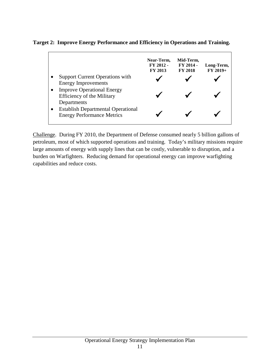**Target 2: Improve Energy Performance and Efficiency in Operations and Training.**

|                                                                                       | Near-Term,<br>FY 2012 -<br>FY 2013 | Mid-Term,<br>FY 2014 -<br><b>FY 2018</b> | Long-Term,<br>$FY 2019+$ |
|---------------------------------------------------------------------------------------|------------------------------------|------------------------------------------|--------------------------|
| <b>Support Current Operations with</b><br><b>Energy Improvements</b>                  |                                    |                                          |                          |
| <b>Improve Operational Energy</b><br><b>Efficiency of the Military</b><br>Departments |                                    |                                          |                          |
| <b>Establish Departmental Operational</b><br><b>Energy Performance Metrics</b>        |                                    |                                          |                          |

Challenge. During FY 2010, the Department of Defense consumed nearly 5 billion gallons of petroleum, most of which supported operations and training. Today's military missions require large amounts of energy with supply lines that can be costly, vulnerable to disruption, and a burden on Warfighters. Reducing demand for operational energy can improve warfighting capabilities and reduce costs.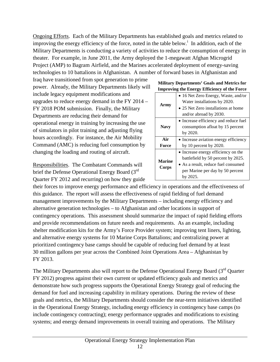Ongoing Efforts. Each of the Military Departments has established goals and metrics related to [i](#page-28-0)mproving the energy efficiency of the force, noted in the table below.<sup>i</sup> In addition, each of the Military Departments is conducting a variety of activities to reduce the consumption of energy in theater. For example, in June 2011, the Army deployed the 1-megawatt Afghan Microgrid Project (AMP) to Bagram Airfield, and the Marines accelerated deployment of energy-saving technologies to 10 battalions in Afghanistan. A number of forward bases in Afghanistan and

Iraq have transitioned from spot generation to prime power. Already, the Military Departments likely will include legacy equipment modifications and upgrades to reduce energy demand in the FY 2014 – FY 2018 POM submission. Finally, the Military Departments are reducing their demand for operational energy in training by increasing the use of simulators in pilot training and adjusting flying hours accordingly. For instance, the Air Mobility Command (AMC) is reducing fuel consumption by changing the loading and routing of aircraft.

Responsibilities. The Combatant Commands will brief the Defense Operational Energy Board (3<sup>rd</sup>) Quarter FY 2012 and recurring) on how they guide

| <b>Military Departments' Goals and Metrics for</b>  |  |
|-----------------------------------------------------|--|
| <b>Improving the Energy Efficiency of the Force</b> |  |
|                                                     |  |

| Army          | • 16 Net Zero Energy, Waste, and/or<br>Water installations by 2020.<br>• 25 Net Zero installations at home |  |  |  |  |
|---------------|------------------------------------------------------------------------------------------------------------|--|--|--|--|
|               | and/or abroad by 2030.                                                                                     |  |  |  |  |
|               | • Increase efficiency and reduce fuel                                                                      |  |  |  |  |
| <b>Navy</b>   | consumption afloat by 15 percent                                                                           |  |  |  |  |
|               | by 2020.                                                                                                   |  |  |  |  |
| Air           | • Increase aviation energy efficiency                                                                      |  |  |  |  |
| Force         | by 10 percent by $2020$ .                                                                                  |  |  |  |  |
|               | • Increase energy efficiency on the                                                                        |  |  |  |  |
| <b>Marine</b> | battlefield by 50 percent by 2025.                                                                         |  |  |  |  |
| Corps         | • As a result, reduce fuel consumed                                                                        |  |  |  |  |
|               | per Marine per day by 50 percent                                                                           |  |  |  |  |
|               | by 2025.                                                                                                   |  |  |  |  |

their forces to improve energy performance and efficiency in operations and the effectiveness of this guidance. The report will assess the effectiveness of rapid fielding of fuel demand management improvements by the Military Departments – including energy efficiency and alternative generation technologies – to Afghanistan and other locations in support of contingency operations. This assessment should summarize the impact of rapid fielding efforts and provide recommendations on future needs and requirements. As an example, including shelter modification kits for the Army's Force Provider system; improving tent liners, lighting, and alternative energy systems for 10 Marine Corps Battalions; and centralizing power at prioritized contingency base camps should be capable of reducing fuel demand by at least 30 million gallons per year across the Combined Joint Operations Area – Afghanistan by FY 2013.

The Military Departments also will report to the Defense Operational Energy Board (3<sup>rd</sup> Quarter FY 2012) progress against their own current or updated efficiency goals and metrics and demonstrate how such progress supports the Operational Energy Strategy goal of reducing the demand for fuel and increasing capability in military operations. During the review of these goals and metrics, the Military Departments should consider the near-term initiatives identified in the Operational Energy Strategy, including energy efficiency in contingency base camps (to include contingency contracting); energy performance upgrades and modifications to existing systems; and energy demand improvements in overall training and operations. The Military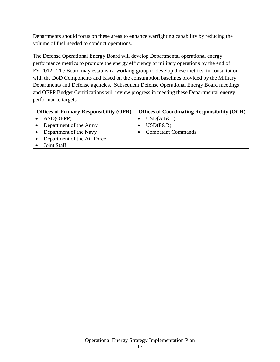Departments should focus on these areas to enhance warfighting capability by reducing the volume of fuel needed to conduct operations.

The Defense Operational Energy Board will develop Departmental operational energy performance metrics to promote the energy efficiency of military operations by the end of FY 2012. The Board may establish a working group to develop these metrics, in consultation with the DoD Components and based on the consumption baselines provided by the Military Departments and Defense agencies. Subsequent Defense Operational Energy Board meetings and OEPP Budget Certifications will review progress in meeting these Departmental energy performance targets.

| <b>Offices of Primary Responsibility (OPR)</b> |                        | <b>Offices of Coordinating Responsibility (OCR)</b> |                           |  |  |
|------------------------------------------------|------------------------|-----------------------------------------------------|---------------------------|--|--|
|                                                | ASD(OEPP)              |                                                     | USD(AT&L)                 |  |  |
|                                                | Department of the Army |                                                     | $USD(P\&R)$               |  |  |
|                                                | Department of the Navy |                                                     | <b>Combatant Commands</b> |  |  |
| Department of the Air Force                    |                        |                                                     |                           |  |  |
|                                                | Joint Staff            |                                                     |                           |  |  |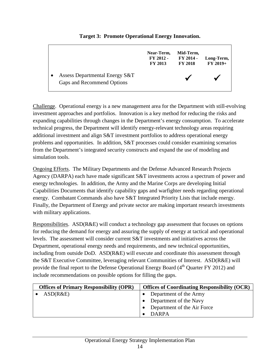#### **Near-Term, FY 2012 - FY 2013 Mid-Term, FY 2014 - FY 2018 Long-Term, FY 2019+** • Assess Departmental Energy S&T Gaps and Recommend Options

**Target 3: Promote Operational Energy Innovation.**

Challenge. Operational energy is a new management area for the Department with still-evolving investment approaches and portfolios. Innovation is a key method for reducing the risks and expanding capabilities through changes in the Department's energy consumption. To accelerate technical progress, the Department will identify energy-relevant technology areas requiring additional investment and align S&T investment portfolios to address operational energy problems and opportunities. In addition, S&T processes could consider examining scenarios from the Department's integrated security constructs and expand the use of modeling and simulation tools.

Ongoing Efforts. The Military Departments and the Defense Advanced Research Projects Agency (DARPA) each have made significant S&T investments across a spectrum of power and energy technologies. In addition, the Army and the Marine Corps are developing Initial Capabilities Documents that identify capability gaps and warfighter needs regarding operational energy. Combatant Commands also have S&T Integrated Priority Lists that include energy. Finally, the Department of Energy and private sector are making important research investments with military applications.

Responsibilities. ASD(R&E) will conduct a technology gap assessment that focuses on options for reducing the demand for energy and assuring the supply of energy at tactical and operational levels. The assessment will consider current S&T investments and initiatives across the Department, operational energy needs and requirements, and new technical opportunities, including from outside DoD. ASD $(R\&E)$  will execute and coordinate this assessment through the S&T Executive Committee, leveraging relevant Communities of Interest. ASD(R&E) will provide the final report to the Defense Operational Energy Board  $(4<sup>th</sup>$  Quarter FY 2012) and include recommendations on possible options for filling the gaps.

| <b>Offices of Primary Responsibility (OPR)</b> | <b>Offices of Coordinating Responsibility (OCR)</b> |
|------------------------------------------------|-----------------------------------------------------|
| ASD(R&E)                                       | Department of the Army                              |
|                                                | <b>•</b> Department of the Navy                     |
|                                                | Department of the Air Force                         |
|                                                | <b>DARPA</b>                                        |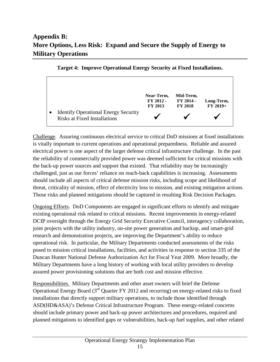# **Appendix B: More Options, Less Risk: Expand and Secure the Supply of Energy to Military Operations**



Challenge. Assuring continuous electrical service to critical DoD missions at fixed installations is vitally important to current operations and operational preparedness. Reliable and assured electrical power is one aspect of the larger defense critical infrastructure challenge. In the past the reliability of commercially provided power was deemed sufficient for critical missions with the back-up power sources and support that existed. That reliability may be increasingly challenged, just as our forces' reliance on reach-back capabilities is increasing. Assessments should include all aspects of critical defense mission risks, including scope and likelihood of threat, criticality of mission, effect of electricity loss to mission, and existing mitigation actions. Those risks and planned mitigations should be captured in resulting Risk Decision Packages.

Ongoing Efforts. DoD Components are engaged in significant efforts to identify and mitigate existing operational risk related to critical missions. Recent improvements in energy-related DCIP oversight through the Energy Grid Security Executive Council, interagency collaboration, joint projects with the utility industry, on-site power generation and backup, and smart-grid research and demonstration projects, are improving the Department's ability to reduce operational risk. In particular, the Military Departments conducted assessments of the risks posed to mission critical installations, facilities, and activities in response to section 335 of the Duncan Hunter National Defense Authorization Act for Fiscal Year 2009. More broadly, the Military Departments have a long history of working with local utility providers to develop assured power provisioning solutions that are both cost and mission effective.

Responsibilities. Military Departments and other asset owners will brief the Defense Operational Energy Board  $3<sup>rd</sup>$  Quarter FY 2012 and recurring) on energy-related risks to fixed installations that directly support military operations, to include those identified through ASD(HD&ASA)'s Defense Critical Infrastructure Program. These energy-related concerns should include primary power and back-up power architectures and procedures, required and planned mitigations to identified gaps or vulnerabilities, back-up fuel supplies, and other related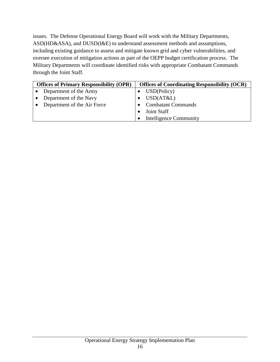issues. The Defense Operational Energy Board will work with the Military Departments, ASD(HD&ASA), and DUSD(I&E) to understand assessment methods and assumptions, including existing guidance to assess and mitigate known grid and cyber vulnerabilities, and oversee execution of mitigation actions as part of the OEPP budget certification process. The Military Departments will coordinate identified risks with appropriate Combatant Commands through the Joint Staff.

| <b>Offices of Primary Responsibility (OPR)</b> |                        | <b>Offices of Coordinating Responsibility (OCR)</b> |
|------------------------------------------------|------------------------|-----------------------------------------------------|
|                                                | Department of the Army | USD(Policy)                                         |
|                                                | Department of the Navy | USD(AT&L)                                           |
| Department of the Air Force                    |                        | <b>Combatant Commands</b>                           |
|                                                |                        | <b>Joint Staff</b>                                  |
|                                                |                        | <b>Intelligence Community</b>                       |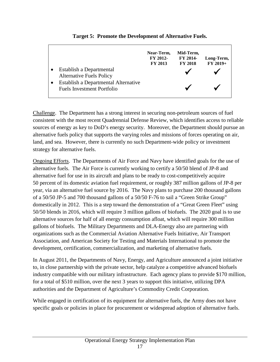| Establish a Departmental<br><b>Alternative Fuels Policy</b>               | Near-Term,<br>FY 2012-<br><b>FY 2013</b> | Mid-Term,<br>FY 2014-<br><b>FY 2018</b> | Long-Term,<br>$FY 2019+$ |
|---------------------------------------------------------------------------|------------------------------------------|-----------------------------------------|--------------------------|
| Establish a Departmental Alternative<br><b>Fuels Investment Portfolio</b> |                                          |                                         |                          |

**Target 5: Promote the Development of Alternative Fuels.**

Challenge. The Department has a strong interest in securing non-petroleum sources of fuel consistent with the most recent Quadrennial Defense Review, which identifies access to reliable sources of energy as key to DoD's energy security. Moreover, the Department should pursue an alternative fuels policy that supports the varying roles and missions of forces operating on air, land, and sea. However, there is currently no such Department-wide policy or investment strategy for alternative fuels.

Ongoing Efforts. The Departments of Air Force and Navy have identified goals for the use of alternative fuels. The Air Force is currently working to certify a 50/50 blend of JP-8 and alternative fuel for use in its aircraft and plans to be ready to cost-competitively acquire 50 percent of its domestic aviation fuel requirement, or roughly 387 million gallons of JP-8 per year, via an alternative fuel source by 2016. The Navy plans to purchase 200 thousand gallons of a 50/50 JP-5 and 700 thousand gallons of a 50/50 F-76 to sail a "Green Strike Group" domestically in 2012. This is a step toward the demonstration of a "Great Green Fleet" using 50/50 blends in 2016, which will require 3 million gallons of biofuels. The 2020 goal is to use alternative sources for half of all energy consumption afloat, which will require 300 million gallons of biofuels. The Military Departments and DLA-Energy also are partnering with organizations such as the Commercial Aviation Alternative Fuels Initiative, Air Transport Association, and American Society for Testing and Materials International to promote the development, certification, commercialization, and marketing of alternative fuels.

In August 2011, the Departments of Navy, Energy, and Agriculture announced a joint initiative to, in close partnership with the private sector, help catalyze a competitive advanced biofuels industry compatible with our military infrastructure. Each agency plans to provide \$170 million, for a total of \$510 million, over the next 3 years to support this initiative, utilizing DPA authorities and the Department of Agriculture's Commodity Credit Corporation.

While engaged in certification of its equipment for alternative fuels, the Army does not have specific goals or policies in place for procurement or widespread adoption of alternative fuels.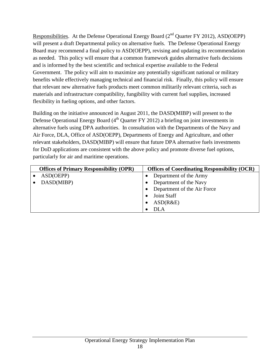Responsibilities. At the Defense Operational Energy Board  $(2<sup>nd</sup>$  Quarter FY 2012), ASD(OEPP) will present a draft Departmental policy on alternative fuels. The Defense Operational Energy Board may recommend a final policy to ASD(OEPP), revising and updating its recommendation as needed. This policy will ensure that a common framework guides alternative fuels decisions and is informed by the best scientific and technical expertise available to the Federal Government. The policy will aim to maximize any potentially significant national or military benefits while effectively managing technical and financial risk. Finally, this policy will ensure that relevant new alternative fuels products meet common militarily relevant criteria, such as materials and infrastructure compatibility, fungibility with current fuel supplies, increased flexibility in fueling options, and other factors.

Building on the initiative announced in August 2011, the DASD(MIBP) will present to the Defense Operational Energy Board (4<sup>th</sup> Quarter FY 2012) a briefing on joint investments in alternative fuels using DPA authorities. In consultation with the Departments of the Navy and Air Force, DLA, Office of ASD(OEPP), Departments of Energy and Agriculture, and other relevant stakeholders, DASD(MIBP) will ensure that future DPA alternative fuels investments for DoD applications are consistent with the above policy and promote diverse fuel options, particularly for air and maritime operations.

| <b>Offices of Primary Responsibility (OPR)</b> | <b>Offices of Coordinating Responsibility (OCR)</b> |
|------------------------------------------------|-----------------------------------------------------|
| ASD(OEPP)                                      | Department of the Army                              |
| DASD(MIBP)                                     | Department of the Navy                              |
|                                                | Department of the Air Force                         |
|                                                | Joint Staff                                         |
|                                                | ASD(R&E)                                            |
|                                                | DLA                                                 |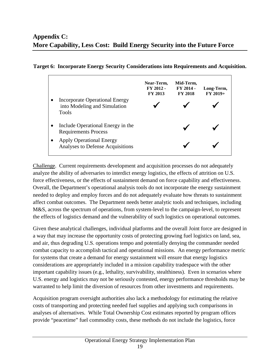|                                                                                  | Near-Term,<br>FY 2012 -<br><b>FY 2013</b> | Mid-Term,<br>FY 2014 -<br><b>FY 2018</b> | Long-Term,<br>$FY 2019+$ |
|----------------------------------------------------------------------------------|-------------------------------------------|------------------------------------------|--------------------------|
| <b>Incorporate Operational Energy</b><br>into Modeling and Simulation<br>Tools   |                                           |                                          |                          |
| Include Operational Energy in the<br>$\bullet$<br><b>Requirements Process</b>    |                                           |                                          |                          |
| <b>Apply Operational Energy</b><br>$\bullet$<br>Analyses to Defense Acquisitions |                                           |                                          |                          |

#### **Target 6: Incorporate Energy Security Considerations into Requirements and Acquisition.**

Challenge. Current requirements development and acquisition processes do not adequately analyze the ability of adversaries to interdict energy logistics, the effects of attrition on U.S. force effectiveness, or the effects of sustainment demand on force capability and effectiveness. Overall, the Department's operational analysis tools do not incorporate the energy sustainment needed to deploy and employ forces and do not adequately evaluate how threats to sustainment affect combat outcomes. The Department needs better analytic tools and techniques, including M&S, across the spectrum of operations, from system-level to the campaign-level, to represent the effects of logistics demand and the vulnerability of such logistics on operational outcomes.

Given these analytical challenges, individual platforms and the overall Joint force are designed in a way that may increase the opportunity costs of protecting growing fuel logistics on land, sea, and air, thus degrading U.S. operations tempo and potentially denying the commander needed combat capacity to accomplish tactical and operational missions. An energy performance metric for systems that create a demand for energy sustainment will ensure that energy logistics considerations are appropriately included in a mission capability tradespace with the other important capability issues (e.g., lethality, survivability, stealthiness). Even in scenarios where U.S. energy and logistics may not be seriously contested, energy performance thresholds may be warranted to help limit the diversion of resources from other investments and requirements.

Acquisition program oversight authorities also lack a methodology for estimating the relative costs of transporting and protecting needed fuel supplies and applying such comparisons in analyses of alternatives. While Total Ownership Cost estimates reported by program offices provide "peacetime" fuel commodity costs, these methods do not include the logistics, force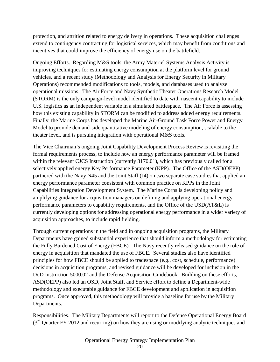protection, and attrition related to energy delivery in operations. These acquisition challenges extend to contingency contracting for logistical services, which may benefit from conditions and incentives that could improve the efficiency of energy use on the battlefield.

Ongoing Efforts. Regarding M&S tools, the Army Materiel Systems Analysis Activity is improving techniques for estimating energy consumption at the platform level for ground vehicles, and a recent study (Methodology and Analysis for Energy Security in Military Operations) recommended modifications to tools, models, and databases used to analyze operational missions. The Air Force and Navy Synthetic Theater Operations Research Model (STORM) is the only campaign-level model identified to date with nascent capability to include U.S. logistics as an independent variable in a simulated battlespace. The Air Force is assessing how this existing capability in STORM can be modified to address added energy requirements. Finally, the Marine Corps has developed the Marine Air-Ground Task Force Power and Energy Model to provide demand-side quantitative modeling of energy consumption, scalable to the theater level, and is pursuing integration with operational M&S tools.

The Vice Chairman's ongoing Joint Capability Development Process Review is revisiting the formal requirements process, to include how an energy performance parameter will be framed within the relevant CJCS Instruction (currently 3170.01), which has previously called for a selectively applied energy Key Performance Parameter (KPP). The Office of the ASD(OEPP) partnered with the Navy N45 and the Joint Staff (J4) on two separate case studies that applied an energy performance parameter consistent with common practice on KPPs in the Joint Capabilities Integration Development System. The Marine Corps is developing policy and amplifying guidance for acquisition managers on defining and applying operational energy performance parameters to capability requirements, and the Office of the USD(AT&L) is currently developing options for addressing operational energy performance in a wider variety of acquisition approaches, to include rapid fielding.

Through current operations in the field and in ongoing acquisition programs, the Military Departments have gained substantial experience that should inform a methodology for estimating the Fully Burdened Cost of Energy (FBCE). The Navy recently released guidance on the role of energy in acquisition that mandated the use of FBCE. Several studies also have identified principles for how FBCE should be applied to tradespace (e.g., cost, schedule, performance) decisions in acquisition programs, and revised guidance will be developed for inclusion in the DoD Instruction 5000.02 and the Defense Acquisition Guidebook. Building on these efforts, ASD(OEPP) also led an OSD, Joint Staff, and Service effort to define a Department-wide methodology and executable guidance for FBCE development and application in acquisition programs. Once approved, this methodology will provide a baseline for use by the Military Departments.

Responsibilities. The Military Departments will report to the Defense Operational Energy Board (3<sup>rd</sup> Quarter FY 2012 and recurring) on how they are using or modifying analytic techniques and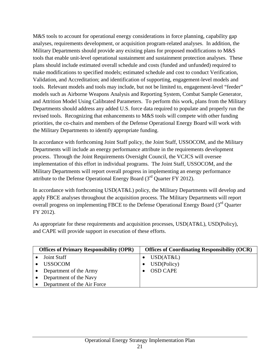M&S tools to account for operational energy considerations in force planning, capability gap analyses, requirements development, or acquisition program-related analyses. In addition, the Military Departments should provide any existing plans for proposed modifications to M&S tools that enable unit-level operational sustainment and sustainment protection analyses. These plans should include estimated overall schedule and costs (funded and unfunded) required to make modifications to specified models; estimated schedule and cost to conduct Verification, Validation, and Accreditation; and identification of supporting, engagement-level models and tools. Relevant models and tools may include, but not be limited to, engagement-level "feeder" models such as Airborne Weapons Analysis and Reporting System, Combat Sample Generator, and Attrition Model Using Calibrated Parameters. To perform this work, plans from the Military Departments should address any added U.S. force data required to populate and properly run the revised tools. Recognizing that enhancements to M&S tools will compete with other funding priorities, the co-chairs and members of the Defense Operational Energy Board will work with the Military Departments to identify appropriate funding.

In accordance with forthcoming Joint Staff policy, the Joint Staff, USSOCOM, and the Military Departments will include an energy performance attribute in the requirements development process. Through the Joint Requirements Oversight Council, the VCJCS will oversee implementation of this effort in individual programs. The Joint Staff, USSOCOM, and the Military Departments will report overall progress in implementing an energy performance attribute to the Defense Operational Energy Board  $(3<sup>rd</sup>$  Quarter FY 2012).

In accordance with forthcoming USD(AT&L) policy, the Military Departments will develop and apply FBCE analyses throughout the acquisition process. The Military Departments will report overall progress on implementing FBCE to the Defense Operational Energy Board (3<sup>rd</sup> Quarter FY 2012).

As appropriate for these requirements and acquisition processes, USD(AT&L), USD(Policy), and CAPE will provide support in execution of these efforts.

| <b>Offices of Primary Responsibility (OPR)</b> |                             | <b>Offices of Coordinating Responsibility (OCR)</b> |                 |  |
|------------------------------------------------|-----------------------------|-----------------------------------------------------|-----------------|--|
|                                                | Joint Staff                 |                                                     | USD(AT&L)       |  |
|                                                | <b>USSOCOM</b>              |                                                     | USD(Policy)     |  |
|                                                | Department of the Army      |                                                     | <b>OSD CAPE</b> |  |
|                                                | Department of the Navy      |                                                     |                 |  |
|                                                | Department of the Air Force |                                                     |                 |  |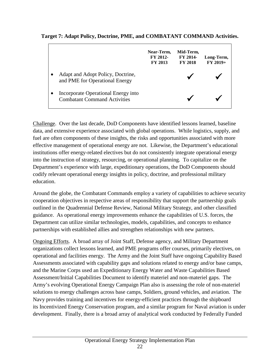**Target 7: Adapt Policy, Doctrine, PME, and COMBATANT COMMAND Activities.**

|                                                                            | Near-Term,<br>FY 2012-<br><b>FY 2013</b> | Mid-Term,<br>FY 2014-<br><b>FY 2018</b> | Long-Term,<br>$FY 2019+$ |
|----------------------------------------------------------------------------|------------------------------------------|-----------------------------------------|--------------------------|
| Adapt and Adopt Policy, Doctrine,<br>and PME for Operational Energy        |                                          |                                         |                          |
| Incorporate Operational Energy into<br><b>Combatant Command Activities</b> |                                          |                                         |                          |

Challenge. Over the last decade, DoD Components have identified lessons learned, baseline data, and extensive experience associated with global operations. While logistics, supply, and fuel are often components of these insights, the risks and opportunities associated with more effective management of operational energy are not. Likewise, the Department's educational institutions offer energy-related electives but do not consistently integrate operational energy into the instruction of strategy, resourcing, or operational planning. To capitalize on the Department's experience with large, expeditionary operations, the DoD Components should codify relevant operational energy insights in policy, doctrine, and professional military education.

Around the globe, the Combatant Commands employ a variety of capabilities to achieve security cooperation objectives in respective areas of responsibility that support the partnership goals outlined in the Quadrennial Defense Review, National Military Strategy, and other classified guidance. As operational energy improvements enhance the capabilities of U.S. forces, the Department can utilize similar technologies, models, capabilities, and concepts to enhance partnerships with established allies and strengthen relationships with new partners.

Ongoing Efforts. A broad array of Joint Staff, Defense agency, and Military Department organizations collect lessons learned, and PME programs offer courses, primarily electives, on operational and facilities energy. The Army and the Joint Staff have ongoing Capability Based Assessments associated with capability gaps and solutions related to energy and/or base camps, and the Marine Corps used an Expeditionary Energy Water and Waste Capabilities Based Assessment/Initial Capabilities Document to identify materiel and non-materiel gaps. The Army's evolving Operational Energy Campaign Plan also is assessing the role of non-materiel solutions to energy challenges across base camps, Soldiers, ground vehicles, and aviation. The Navy provides training and incentives for energy-efficient practices through the shipboard its Incentivized Energy Conservation program, and a similar program for Naval aviation is under development. Finally, there is a broad array of analytical work conducted by Federally Funded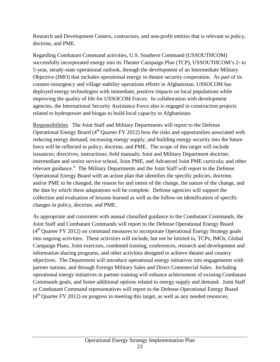Research and Development Centers, contractors, and non-profit entities that is relevant to policy, doctrine, and PME.

Regarding Combatant Command activities, U.S. Southern Command (USSOUTHCOM) successfully incorporated energy into its Theater Campaign Plan (TCP), USSOUTHCOM's 2- to 5-year, steady-state operational outlook, through the development of an Intermediate Military Objective (IMO) that includes operational energy in theatre security cooperation. As part of its counter-insurgency and village stability operations efforts in Afghanistan, USSOCOM has deployed energy technologies with immediate, positive impacts on local populations while improving the quality of life for USSOCOM Forces. In collaboration with development agencies, the International Security Assistance Force also is engaged in construction projects related to hydropower and biogas to build local capacity in Afghanistan.

Responsibilities. The Joint Staff and Military Departments will report to the Defense Operational Energy Board  $(4<sup>th</sup>$  Quarter FY 2012) how the risks and opportunities associated with reducing energy demand, increasing energy supply, and building energy security into the future force will be reflected in policy, doctrine, and PME. The scope of this target will include issuances; directives; instructions; field manuals; Joint and Military Department doctrine; intermediate and senior service school, Joint PME, and Advanced Joint PME curricula; and other relevant guidance.<sup>[ii](#page-28-1)</sup> The Military Departments and the Joint Staff will report to the Defense Operational Energy Board with an action plan that identifies the specific policies, doctrine, and/or PME to be changed, the reason for and intent of the change, the nature of the change, and the date by which these adaptations will be complete. Defense agencies will support the collection and evaluation of lessons learned as well as the follow-on identification of specific changes in policy, doctrine, and PME.

As appropriate and consistent with annual classified guidance to the Combatant Commands, the Joint Staff and Combatant Commands will report to the Defense Operational Energy Board  $(4<sup>th</sup>$  Quarter FY 2012) on command measures to incorporate Operational Energy Strategy goals into ongoing activities. These activities will include, but not be limited to, TCPs, IMOs, Global Campaign Plans, Joint exercises, combined training, conferences, research and development and information sharing programs, and other activities designed to achieve theater and country objectives. The Department will introduce operational energy initiatives into engagements with partner nations, and through Foreign Military Sales and Direct Commercial Sales. Including operational energy initiatives in partner training will enhance achievement of existing Combatant Commands goals, and foster additional options related to energy supply and demand. Joint Staff or Combatant Command representatives will report to the Defense Operational Energy Board  $(4<sup>th</sup>$  Quarter FY 2012) on progress in meeting this target, as well as any needed resources.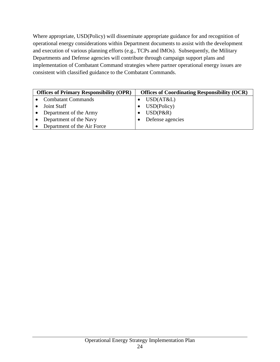Where appropriate, USD(Policy) will disseminate appropriate guidance for and recognition of operational energy considerations within Department documents to assist with the development and execution of various planning efforts (e.g., TCPs and IMOs). Subsequently, the Military Departments and Defense agencies will contribute through campaign support plans and implementation of Combatant Command strategies where partner operational energy issues are consistent with classified guidance to the Combatant Commands.

| <b>Offices of Primary Responsibility (OPR)</b> |                             | <b>Offices of Coordinating Responsibility (OCR)</b> |  |  |
|------------------------------------------------|-----------------------------|-----------------------------------------------------|--|--|
|                                                | <b>Combatant Commands</b>   | USD(AT&L)                                           |  |  |
|                                                | Joint Staff                 | USD(Policy)                                         |  |  |
|                                                | Department of the Army      | $USD(P\&R)$                                         |  |  |
|                                                | Department of the Navy      | Defense agencies                                    |  |  |
|                                                | Department of the Air Force |                                                     |  |  |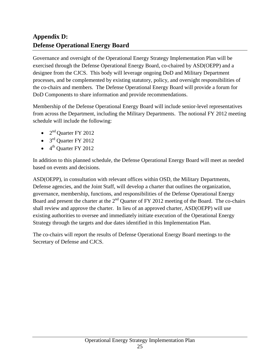# **Appendix D: Defense Operational Energy Board**

Governance and oversight of the Operational Energy Strategy Implementation Plan will be exercised through the Defense Operational Energy Board, co-chaired by ASD(OEPP) and a designee from the CJCS. This body will leverage ongoing DoD and Military Department processes, and be complemented by existing statutory, policy, and oversight responsibilities of the co-chairs and members. The Defense Operational Energy Board will provide a forum for DoD Components to share information and provide recommendations.

Membership of the Defense Operational Energy Board will include senior-level representatives from across the Department, including the Military Departments. The notional FY 2012 meeting schedule will include the following:

- $2<sup>nd</sup>$  Quarter FY 2012
- $3<sup>rd</sup>$  Quarter FY 2012
- $\bullet$  4<sup>th</sup> Ouarter FY 2012

In addition to this planned schedule, the Defense Operational Energy Board will meet as needed based on events and decisions.

ASD(OEPP), in consultation with relevant offices within OSD, the Military Departments, Defense agencies, and the Joint Staff, will develop a charter that outlines the organization, governance, membership, functions, and responsibilities of the Defense Operational Energy Board and present the charter at the  $2<sup>nd</sup>$  Quarter of FY 2012 meeting of the Board. The co-chairs shall review and approve the charter. In lieu of an approved charter, ASD(OEPP) will use existing authorities to oversee and immediately initiate execution of the Operational Energy Strategy through the targets and due dates identified in this Implementation Plan.

The co-chairs will report the results of Defense Operational Energy Board meetings to the Secretary of Defense and CJCS.